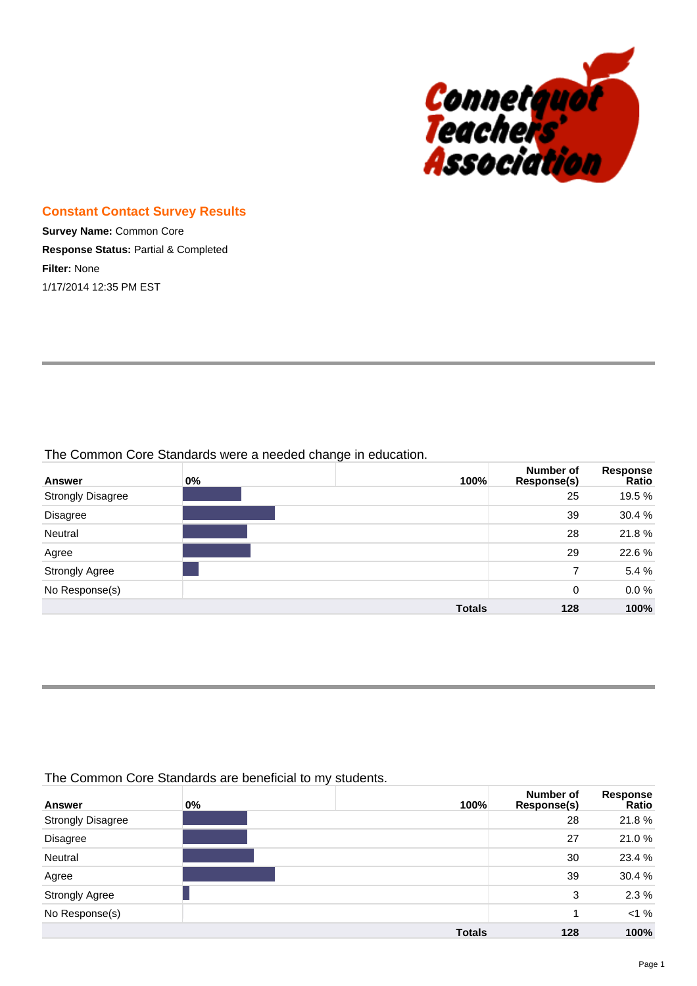

#### **Constant Contact Survey Results**

**Survey Name:** Common Core **Response Status:** Partial & Completed **Filter:** None 1/17/2014 12:35 PM EST

The Common Core Standards were a needed change in education.

| <b>Answer</b>            | $0\%$ | 100%          | Number of<br>Response(s) | <b>Response</b><br>Ratio |
|--------------------------|-------|---------------|--------------------------|--------------------------|
| <b>Strongly Disagree</b> |       |               | 25                       | 19.5 %                   |
| Disagree                 |       |               | 39                       | 30.4 %                   |
| Neutral                  |       |               | 28                       | 21.8%                    |
| Agree                    |       |               | 29                       | 22.6%                    |
| <b>Strongly Agree</b>    |       |               | 7                        | 5.4 %                    |
| No Response(s)           |       |               | 0                        | 0.0%                     |
|                          |       | <b>Totals</b> | 128                      | 100%                     |

#### The Common Core Standards are beneficial to my students.

| <b>Answer</b>            | $0\%$ | 100%          | Number of<br>Response(s) | Response<br>Ratio |
|--------------------------|-------|---------------|--------------------------|-------------------|
| <b>Strongly Disagree</b> |       |               | 28                       | 21.8%             |
| Disagree                 |       |               | 27                       | 21.0%             |
| Neutral                  |       |               | 30                       | 23.4 %            |
| Agree                    |       |               | 39                       | 30.4 %            |
| <b>Strongly Agree</b>    |       |               | 3                        | 2.3%              |
| No Response(s)           |       |               |                          | <1%               |
|                          |       | <b>Totals</b> | 128                      | 100%              |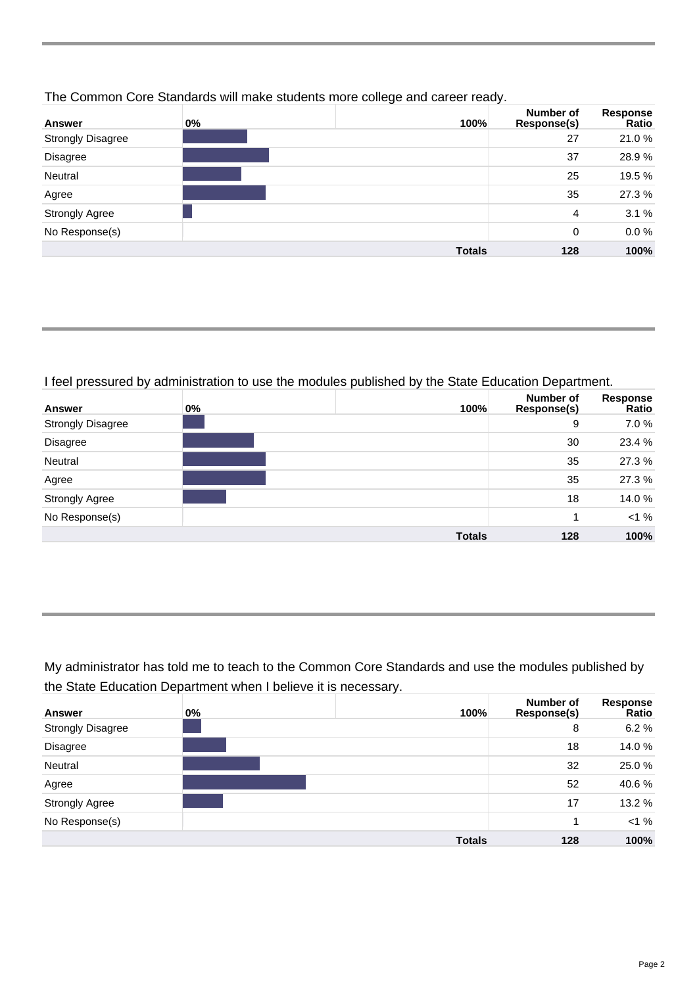| <b>Answer</b>            | $0\%$ | 100%          | <b>Number of</b><br>Response(s) | <b>Response</b><br>Ratio |
|--------------------------|-------|---------------|---------------------------------|--------------------------|
| <b>Strongly Disagree</b> |       |               | 27                              | 21.0%                    |
| Disagree                 |       |               | 37                              | 28.9%                    |
| Neutral                  |       |               | 25                              | 19.5 %                   |
| Agree                    |       |               | 35                              | 27.3%                    |
| <b>Strongly Agree</b>    |       |               | 4                               | 3.1%                     |
| No Response(s)           |       |               | 0                               | 0.0%                     |
|                          |       | <b>Totals</b> | 128                             | 100%                     |

#### The Common Core Standards will make students more college and career ready.

#### I feel pressured by administration to use the modules published by the State Education Department.

| Answer                   | 0% | 100%          | Number of<br>Response(s) | Response<br>Ratio |
|--------------------------|----|---------------|--------------------------|-------------------|
| <b>Strongly Disagree</b> |    |               | 9                        | 7.0 %             |
| Disagree                 |    |               | 30                       | 23.4 %            |
| Neutral                  |    |               | 35                       | 27.3%             |
| Agree                    |    |               | 35                       | 27.3%             |
| <b>Strongly Agree</b>    |    |               | 18                       | 14.0%             |
| No Response(s)           |    |               |                          | <1%               |
|                          |    | <b>Totals</b> | 128                      | 100%              |

My administrator has told me to teach to the Common Core Standards and use the modules published by the State Education Department when I believe it is necessary.

| <b>Answer</b>            | 0% | 100%          | Number of<br>Response(s) | Response<br>Ratio |
|--------------------------|----|---------------|--------------------------|-------------------|
| <b>Strongly Disagree</b> |    |               | 8                        | 6.2%              |
| Disagree                 |    |               | 18                       | 14.0%             |
| Neutral                  |    |               | 32                       | 25.0%             |
| Agree                    |    |               | 52                       | 40.6%             |
| <b>Strongly Agree</b>    |    |               | 17                       | 13.2 %            |
| No Response(s)           |    |               | 4                        | <1%               |
|                          |    | <b>Totals</b> | 128                      | 100%              |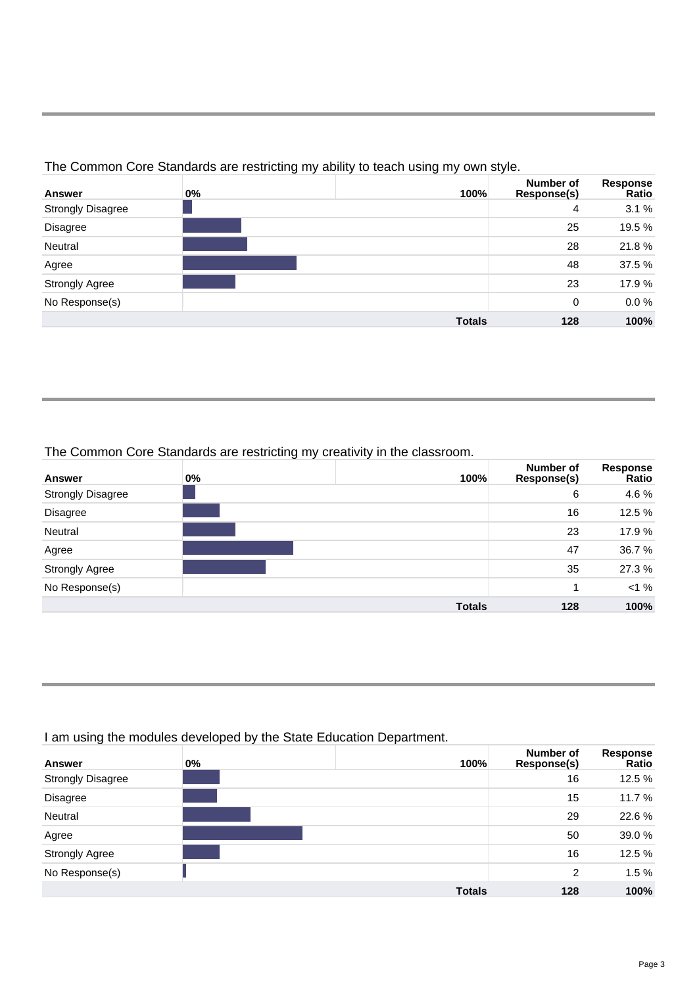| <b>Answer</b>            | $0\%$ | 100%          | Number of<br>Response(s) | Response<br>Ratio |
|--------------------------|-------|---------------|--------------------------|-------------------|
| <b>Strongly Disagree</b> |       |               | 4                        | 3.1%              |
| Disagree                 |       |               | 25                       | 19.5 %            |
| Neutral                  |       |               | 28                       | 21.8%             |
| Agree                    |       |               | 48                       | 37.5 %            |
| <b>Strongly Agree</b>    |       |               | 23                       | 17.9 %            |
| No Response(s)           |       |               | 0                        | $0.0 \%$          |
|                          |       | <b>Totals</b> | 128                      | 100%              |

The Common Core Standards are restricting my ability to teach using my own style.

# The Common Core Standards are restricting my creativity in the classroom.

| <b>Answer</b>            | $0\%$ | 100%          | Number of<br>Response(s) | Response<br>Ratio |
|--------------------------|-------|---------------|--------------------------|-------------------|
| <b>Strongly Disagree</b> |       |               | 6                        | 4.6 %             |
| Disagree                 |       |               | 16                       | 12.5 %            |
| Neutral                  |       |               | 23                       | 17.9 %            |
| Agree                    |       |               | 47                       | 36.7 %            |
| <b>Strongly Agree</b>    |       |               | 35                       | 27.3 %            |
| No Response(s)           |       |               | 1                        | $< 1 \%$          |
|                          |       | <b>Totals</b> | 128                      | 100%              |

## I am using the modules developed by the State Education Department.

| <b>Answer</b>            | $0\%$ | 100%          | Number of<br>Response(s) | Response<br>Ratio |
|--------------------------|-------|---------------|--------------------------|-------------------|
| <b>Strongly Disagree</b> |       |               | 16                       | 12.5 %            |
| Disagree                 |       |               | 15                       | 11.7 %            |
| Neutral                  |       |               | 29                       | 22.6%             |
| Agree                    |       |               | 50                       | 39.0%             |
| <b>Strongly Agree</b>    |       |               | 16                       | 12.5 %            |
| No Response(s)           |       |               | 2                        | 1.5%              |
|                          |       | <b>Totals</b> | 128                      | 100%              |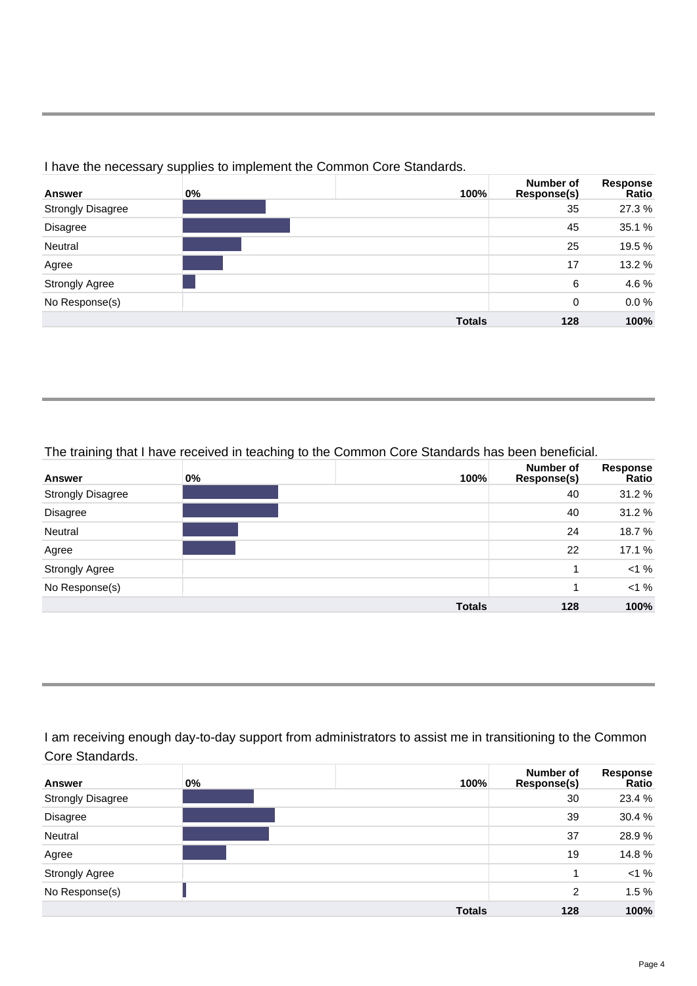| <b>Answer</b>            | $0\%$ | 100%          | Number of<br>Response(s) | Response<br>Ratio |
|--------------------------|-------|---------------|--------------------------|-------------------|
| <b>Strongly Disagree</b> |       |               | 35                       | 27.3%             |
| Disagree                 |       |               | 45                       | 35.1 %            |
| Neutral                  |       |               | 25                       | 19.5 %            |
| Agree                    |       |               | 17                       | 13.2 %            |
| <b>Strongly Agree</b>    |       |               | 6                        | 4.6%              |
| No Response(s)           |       |               | 0                        | $0.0\%$           |
|                          |       | <b>Totals</b> | 128                      | 100%              |

## I have the necessary supplies to implement the Common Core Standards.

#### The training that I have received in teaching to the Common Core Standards has been beneficial.

| ັ<br><b>Answer</b>       | $0\%$ | ັ | 100%          | <b>Number of</b><br>Response(s) | Response<br>Ratio |
|--------------------------|-------|---|---------------|---------------------------------|-------------------|
| <b>Strongly Disagree</b> |       |   |               | 40                              | 31.2 %            |
| Disagree                 |       |   |               | 40                              | 31.2 %            |
| Neutral                  |       |   |               | 24                              | 18.7%             |
| Agree                    |       |   |               | 22                              | 17.1 %            |
| <b>Strongly Agree</b>    |       |   |               | 1                               | $< 1 \%$          |
| No Response(s)           |       |   |               | -1                              | <1%               |
|                          |       |   | <b>Totals</b> | 128                             | 100%              |

I am receiving enough day-to-day support from administrators to assist me in transitioning to the Common Core Standards.

| Answer                   | $0\%$ | 100%          | Number of<br>Response(s) | Response<br>Ratio |
|--------------------------|-------|---------------|--------------------------|-------------------|
| <b>Strongly Disagree</b> |       |               | 30                       | 23.4 %            |
| Disagree                 |       |               | 39                       | 30.4 %            |
| Neutral                  |       |               | 37                       | 28.9%             |
| Agree                    |       |               | 19                       | 14.8%             |
| <b>Strongly Agree</b>    |       |               | 1                        | <1%               |
| No Response(s)           |       |               | 2                        | 1.5%              |
|                          |       | <b>Totals</b> | 128                      | 100%              |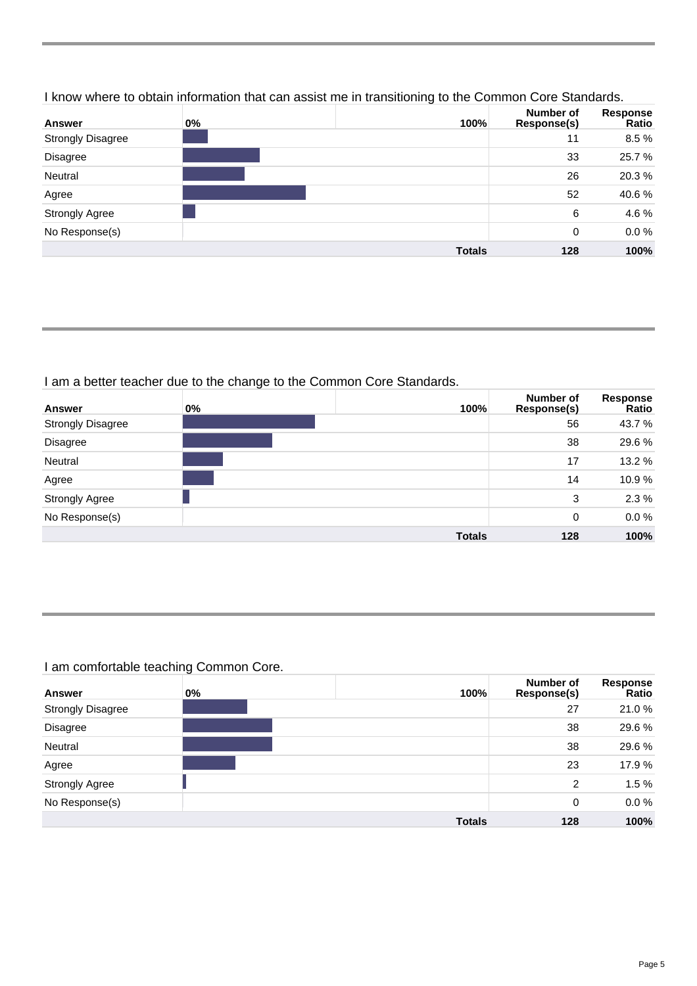## I know where to obtain information that can assist me in transitioning to the Common Core Standards.

| <b>Answer</b>            | $0\%$ | 100%          | <b>Number of</b><br>Response(s) | Response<br>Ratio |
|--------------------------|-------|---------------|---------------------------------|-------------------|
| <b>Strongly Disagree</b> |       |               | 11                              | 8.5%              |
| Disagree                 |       |               | 33                              | 25.7%             |
| Neutral                  |       |               | 26                              | 20.3%             |
| Agree                    |       |               | 52                              | 40.6%             |
| <b>Strongly Agree</b>    |       |               | 6                               | 4.6%              |
| No Response(s)           |       |               | 0                               | $0.0\%$           |
|                          |       | <b>Totals</b> | 128                             | 100%              |

# I am a better teacher due to the change to the Common Core Standards.

| <b>Answer</b>            | $0\%$ | 100%          | Number of<br>Response(s) | Response<br>Ratio |
|--------------------------|-------|---------------|--------------------------|-------------------|
| <b>Strongly Disagree</b> |       |               | 56                       | 43.7 %            |
| Disagree                 |       |               | 38                       | 29.6%             |
| Neutral                  |       |               | 17                       | 13.2 %            |
| Agree                    |       |               | 14                       | 10.9%             |
| <b>Strongly Agree</b>    |       |               | 3                        | 2.3%              |
| No Response(s)           |       |               | 0                        | $0.0\%$           |
|                          |       | <b>Totals</b> | 128                      | 100%              |

# I am comfortable teaching Common Core.

| <b>Answer</b>            | $0\%$ | 100%          | Number of<br>Response(s) | <b>Response</b><br>Ratio |
|--------------------------|-------|---------------|--------------------------|--------------------------|
| <b>Strongly Disagree</b> |       |               | 27                       | 21.0%                    |
| Disagree                 |       |               | 38                       | 29.6%                    |
| Neutral                  |       |               | 38                       | 29.6%                    |
| Agree                    |       |               | 23                       | 17.9 %                   |
| <b>Strongly Agree</b>    |       |               | 2                        | 1.5%                     |
| No Response(s)           |       |               | 0                        | $0.0 \%$                 |
|                          |       | <b>Totals</b> | 128                      | 100%                     |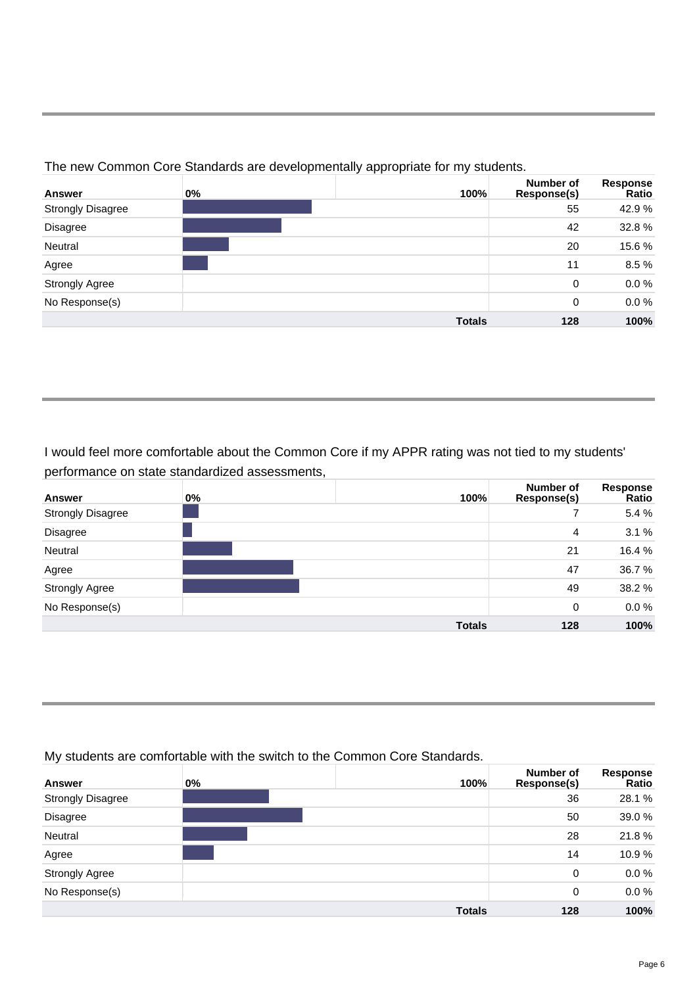| <b>Answer</b>            | $0\%$ | 100%          | Number of<br>Response(s) | Response<br>Ratio |
|--------------------------|-------|---------------|--------------------------|-------------------|
| <b>Strongly Disagree</b> |       |               | 55                       | 42.9%             |
| Disagree                 |       |               | 42                       | 32.8%             |
| Neutral                  |       |               | 20                       | 15.6%             |
| Agree                    |       |               | 11                       | 8.5%              |
| <b>Strongly Agree</b>    |       |               | 0                        | $0.0\%$           |
| No Response(s)           |       |               | $\Omega$                 | $0.0\%$           |
|                          |       | <b>Totals</b> | 128                      | 100%              |

The new Common Core Standards are developmentally appropriate for my students.

# I would feel more comfortable about the Common Core if my APPR rating was not tied to my students' performance on state standardized assessments,

| <b>Answer</b>            | 0% | 100%          | Number of<br>Response(s) | Response<br>Ratio |
|--------------------------|----|---------------|--------------------------|-------------------|
| <b>Strongly Disagree</b> |    |               |                          | 5.4 %             |
| Disagree                 |    |               | 4                        | 3.1%              |
| Neutral                  |    |               | 21                       | 16.4 %            |
| Agree                    |    |               | 47                       | 36.7 %            |
| <b>Strongly Agree</b>    |    |               | 49                       | 38.2 %            |
| No Response(s)           |    |               | 0                        | $0.0 \%$          |
|                          |    | <b>Totals</b> | 128                      | 100%              |

## My students are comfortable with the switch to the Common Core Standards.

| <b>Answer</b>            | $0\%$ | 100%          | Number of<br>Response(s) | Response<br>Ratio |
|--------------------------|-------|---------------|--------------------------|-------------------|
| <b>Strongly Disagree</b> |       |               | 36                       | 28.1 %            |
| Disagree                 |       |               | 50                       | 39.0 %            |
| Neutral                  |       |               | 28                       | 21.8%             |
| Agree                    |       |               | 14                       | 10.9%             |
| <b>Strongly Agree</b>    |       |               | 0                        | $0.0 \%$          |
| No Response(s)           |       |               | 0                        | $0.0 \%$          |
|                          |       | <b>Totals</b> | 128                      | 100%              |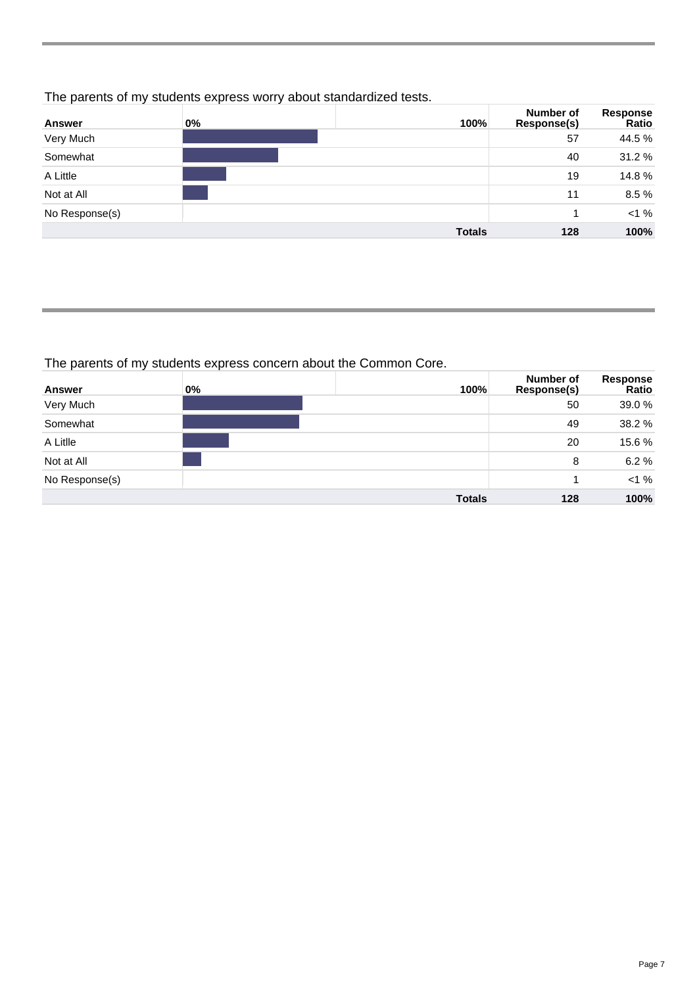## The parents of my students express worry about standardized tests.

| Answer         | $0\%$ | 100%          | Number of<br>Response(s) | Response<br>Ratio |
|----------------|-------|---------------|--------------------------|-------------------|
| Very Much      |       |               | 57                       | 44.5 %            |
| Somewhat       |       |               | 40                       | 31.2%             |
| A Little       |       |               | 19                       | 14.8%             |
| Not at All     |       |               | 11                       | 8.5%              |
| No Response(s) |       |               |                          | <1%               |
|                |       | <b>Totals</b> | 128                      | 100%              |

## The parents of my students express concern about the Common Core.

| <b>Answer</b>  | $0\%$ | 100%          | <b>Number of</b><br>Response(s) | Response<br>Ratio |
|----------------|-------|---------------|---------------------------------|-------------------|
| Very Much      |       |               | 50                              | 39.0 %            |
| Somewhat       |       |               | 49                              | 38.2 %            |
| A Litlle       |       |               | 20                              | 15.6%             |
| Not at All     |       |               | 8                               | 6.2%              |
| No Response(s) |       |               |                                 | $< 1 \%$          |
|                |       | <b>Totals</b> | 128                             | 100%              |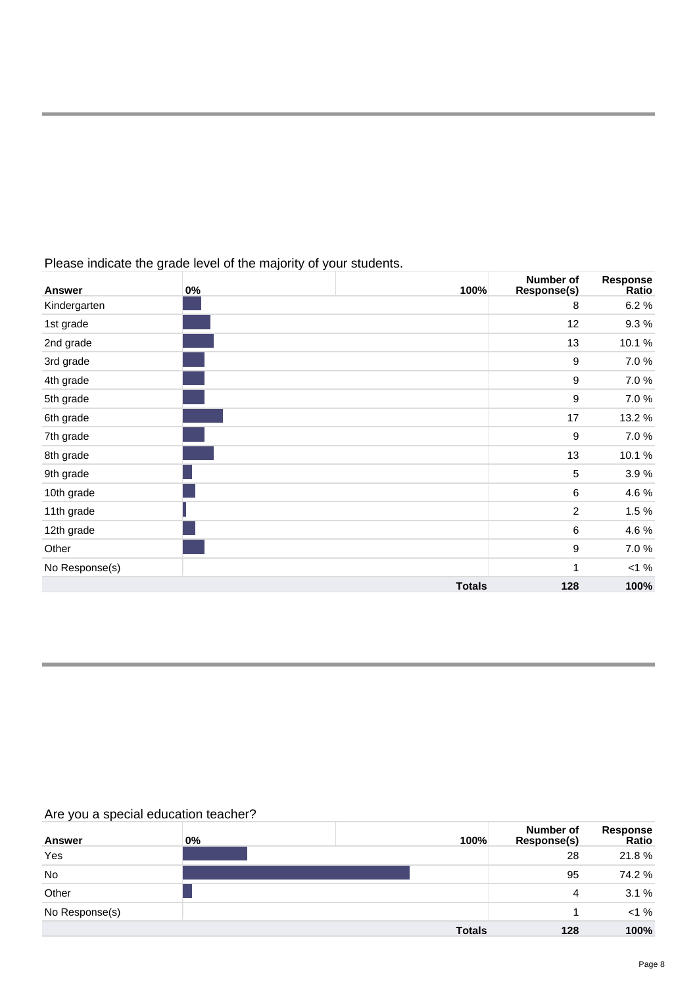| <b>Answer</b>  | $0\%$ | 100%          | Number of<br><b>Response(s)</b> | <b>Response</b><br>Ratio |
|----------------|-------|---------------|---------------------------------|--------------------------|
| Kindergarten   |       |               | 8                               | 6.2%                     |
| 1st grade      |       |               | 12                              | 9.3%                     |
| 2nd grade      |       |               | 13                              | 10.1%                    |
| 3rd grade      |       |               | $\boldsymbol{9}$                | 7.0%                     |
| 4th grade      |       |               | 9                               | 7.0%                     |
| 5th grade      |       |               | $\boldsymbol{9}$                | 7.0%                     |
| 6th grade      |       |               | 17                              | 13.2 %                   |
| 7th grade      |       |               | $\boldsymbol{9}$                | 7.0%                     |
| 8th grade      |       |               | 13                              | 10.1%                    |
| 9th grade      |       |               | 5                               | 3.9%                     |
| 10th grade     |       |               | 6                               | 4.6%                     |
| 11th grade     |       |               | $\overline{2}$                  | 1.5%                     |
| 12th grade     |       |               | 6                               | 4.6%                     |
| Other          |       |               | $\boldsymbol{9}$                | 7.0%                     |
| No Response(s) |       |               | 1                               | $< 1 \%$                 |
|                |       | <b>Totals</b> | 128                             | 100%                     |

Please indicate the grade level of the majority of your students.

# Are you a special education teacher?

| <b>Answer</b>  | $0\%$ | 100%          | Number of<br>Response(s) | Response<br>Ratio |
|----------------|-------|---------------|--------------------------|-------------------|
| Yes            |       |               | 28                       | 21.8%             |
| No             |       |               | 95                       | 74.2 %            |
| Other          |       |               | 4                        | 3.1%              |
| No Response(s) |       |               |                          | <1%               |
|                |       | <b>Totals</b> | 128                      | 100%              |